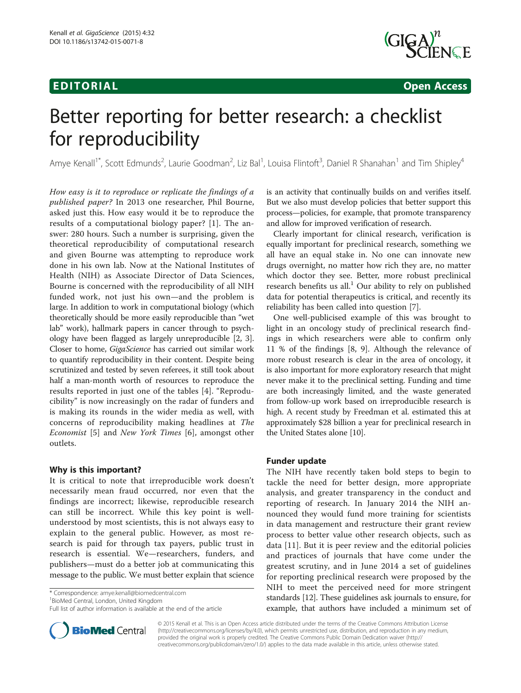## EDI TORIA L Open Access



# Better reporting for better research: a checklist for reproducibility

Amye Kenall<sup>1\*</sup>, Scott Edmunds<sup>2</sup>, Laurie Goodman<sup>2</sup>, Liz Bal<sup>1</sup>, Louisa Flintoft<sup>3</sup>, Daniel R Shanahan<sup>1</sup> and Tim Shipley<sup>4</sup>

How easy is it to reproduce or replicate the findings of a published paper? In 2013 one researcher, Phil Bourne, asked just this. How easy would it be to reproduce the results of a computational biology paper? [[1](#page-2-0)]. The answer: 280 hours. Such a number is surprising, given the theoretical reproducibility of computational research and given Bourne was attempting to reproduce work done in his own lab. Now at the National Institutes of Health (NIH) as Associate Director of Data Sciences, Bourne is concerned with the reproducibility of all NIH funded work, not just his own—and the problem is large. In addition to work in computational biology (which theoretically should be more easily reproducible than "wet lab" work), hallmark papers in cancer through to psychology have been flagged as largely unreproducible [[2](#page-2-0), [3](#page-2-0)]. Closer to home, GigaScience has carried out similar work to quantify reproducibility in their content. Despite being scrutinized and tested by seven referees, it still took about half a man-month worth of resources to reproduce the results reported in just one of the tables [[4\]](#page-2-0). "Reproducibility" is now increasingly on the radar of funders and is making its rounds in the wider media as well, with concerns of reproducibility making headlines at The Economist [\[5](#page-2-0)] and New York Times [[6\]](#page-2-0), amongst other outlets.

## Why is this important?

It is critical to note that irreproducible work doesn't necessarily mean fraud occurred, nor even that the findings are incorrect; likewise, reproducible research can still be incorrect. While this key point is wellunderstood by most scientists, this is not always easy to explain to the general public. However, as most research is paid for through tax payers, public trust in research is essential. We—researchers, funders, and publishers—must do a better job at communicating this message to the public. We must better explain that science

\* Correspondence: [amye.kenall@biomedcentral.com](mailto:amye.kenall@biomedcentral.com) <sup>1</sup>

<sup>1</sup> BioMed Central, London, United Kingdom

Full list of author information is available at the end of the article



is an activity that continually builds on and verifies itself. But we also must develop policies that better support this process—policies, for example, that promote transparency and allow for improved verification of research.

Clearly important for clinical research, verification is equally important for preclinical research, something we all have an equal stake in. No one can innovate new drugs overnight, no matter how rich they are, no matter which doctor they see. Better, more robust preclinical research benefits us all.<sup>1</sup> Our ability to rely on published data for potential therapeutics is critical, and recently its reliability has been called into question [\[7](#page-2-0)].

One well-publicised example of this was brought to light in an oncology study of preclinical research findings in which researchers were able to confirm only 11 % of the findings [[8, 9](#page-2-0)]. Although the relevance of more robust research is clear in the area of oncology, it is also important for more exploratory research that might never make it to the preclinical setting. Funding and time are both increasingly limited, and the waste generated from follow-up work based on irreproducible research is high. A recent study by Freedman et al. estimated this at approximately \$28 billion a year for preclinical research in the United States alone [\[10\]](#page-2-0).

## Funder update

The NIH have recently taken bold steps to begin to tackle the need for better design, more appropriate analysis, and greater transparency in the conduct and reporting of research. In January 2014 the NIH announced they would fund more training for scientists in data management and restructure their grant review process to better value other research objects, such as data [[11\]](#page-2-0). But it is peer review and the editorial policies and practices of journals that have come under the greatest scrutiny, and in June 2014 a set of guidelines for reporting preclinical research were proposed by the NIH to meet the perceived need for more stringent standards [[12](#page-2-0)]. These guidelines ask journals to ensure, for example, that authors have included a minimum set of

© 2015 Kenall et al. This is an Open Access article distributed under the terms of the Creative Commons Attribution License [\(http://creativecommons.org/licenses/by/4.0\)](http://creativecommons.org/licenses/by/4.0), which permits unrestricted use, distribution, and reproduction in any medium, provided the original work is properly credited. The Creative Commons Public Domain Dedication waiver [\(http://](http://creativecommons.org/publicdomain/zero/1.0/) [creativecommons.org/publicdomain/zero/1.0/\)](http://creativecommons.org/publicdomain/zero/1.0/) applies to the data made available in this article, unless otherwise stated.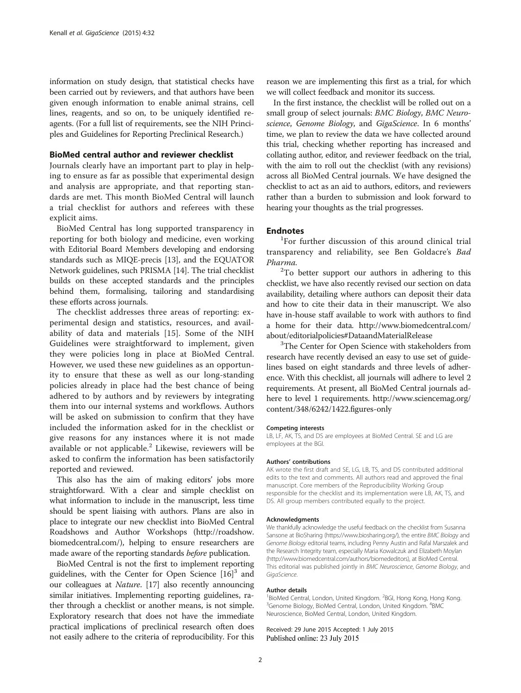information on study design, that statistical checks have been carried out by reviewers, and that authors have been given enough information to enable animal strains, cell lines, reagents, and so on, to be uniquely identified reagents. (For a full list of requirements, see the NIH Principles and Guidelines for Reporting Preclinical Research.)

## BioMed central author and reviewer checklist

Journals clearly have an important part to play in helping to ensure as far as possible that experimental design and analysis are appropriate, and that reporting standards are met. This month BioMed Central will launch a trial checklist for authors and referees with these explicit aims.

BioMed Central has long supported transparency in reporting for both biology and medicine, even working with Editorial Board Members developing and endorsing standards such as MIQE-precis [\[13\]](#page-2-0), and the EQUATOR Network guidelines, such PRISMA [\[14\]](#page-2-0). The trial checklist builds on these accepted standards and the principles behind them, formalising, tailoring and standardising these efforts across journals.

The checklist addresses three areas of reporting: experimental design and statistics, resources, and availability of data and materials [[15\]](#page-2-0). Some of the NIH Guidelines were straightforward to implement, given they were policies long in place at BioMed Central. However, we used these new guidelines as an opportunity to ensure that these as well as our long-standing policies already in place had the best chance of being adhered to by authors and by reviewers by integrating them into our internal systems and workflows. Authors will be asked on submission to confirm that they have included the information asked for in the checklist or give reasons for any instances where it is not made available or not applicable.<sup>2</sup> Likewise, reviewers will be asked to confirm the information has been satisfactorily reported and reviewed.

This also has the aim of making editors' jobs more straightforward. With a clear and simple checklist on what information to include in the manuscript, less time should be spent liaising with authors. Plans are also in place to integrate our new checklist into BioMed Central Roadshows and Author Workshops [\(http://roadshow.](http://roadshow.biomedcentral.com/) [biomedcentral.com/\)](http://roadshow.biomedcentral.com/), helping to ensure researchers are made aware of the reporting standards *before* publication.

BioMed Central is not the first to implement reporting guidelines, with the Center for Open Science  $[16]$  $[16]$  $[16]$ <sup>3</sup> and our colleagues at Nature. [[17](#page-2-0)] also recently announcing similar initiatives. Implementing reporting guidelines, rather through a checklist or another means, is not simple. Exploratory research that does not have the immediate practical implications of preclinical research often does not easily adhere to the criteria of reproducibility. For this

reason we are implementing this first as a trial, for which we will collect feedback and monitor its success.

In the first instance, the checklist will be rolled out on a small group of select journals: BMC Biology, BMC Neuroscience, Genome Biology, and GigaScience. In 6 months' time, we plan to review the data we have collected around this trial, checking whether reporting has increased and collating author, editor, and reviewer feedback on the trial, with the aim to roll out the checklist (with any revisions) across all BioMed Central journals. We have designed the checklist to act as an aid to authors, editors, and reviewers rather than a burden to submission and look forward to hearing your thoughts as the trial progresses.

## Endnotes

1 For further discussion of this around clinical trial transparency and reliability, see Ben Goldacre's Bad Pharma. <sup>2</sup>

 $2$ To better support our authors in adhering to this checklist, we have also recently revised our section on data availability, detailing where authors can deposit their data and how to cite their data in their manuscript. We also have in-house staff available to work with authors to find a home for their data. [http://www.biomedcentral.com/](http://www.biomedcentral.com/about/editorialpolicies#DataandMaterialRelease) [about/editorialpolicies#DataandMaterialRelease](http://www.biomedcentral.com/about/editorialpolicies#DataandMaterialRelease) <sup>3</sup>

<sup>3</sup>The Center for Open Science with stakeholders from research have recently devised an easy to use set of guidelines based on eight standards and three levels of adherence. With this checklist, all journals will adhere to level 2 requirements. At present, all BioMed Central journals adhere to level 1 requirements. [http://www.sciencemag.org/](http://www.sciencemag.org/content/348/6242/1422.figures-only) [content/348/6242/1422.figures-only](http://www.sciencemag.org/content/348/6242/1422.figures-only)

#### Competing interests

LB, LF, AK, TS, and DS are employees at BioMed Central. SE and LG are employees at the BGI.

#### Authors' contributions

AK wrote the first draft and SE, LG, LB, TS, and DS contributed additional edits to the text and comments. All authors read and approved the final manuscript. Core members of the Reproducibility Working Group responsible for the checklist and its implementation were LB, AK, TS, and DS. All group members contributed equally to the project.

#### Acknowledgments

We thankfully acknowledge the useful feedback on the checklist from Susanna Sansone at BioSharing (<https://www.biosharing.org/>), the entire BMC Biology and Genome Biology editorial teams, including Penny Austin and Rafal Marszalek and the Research Integrity team, especially Maria Kowalczuk and Elizabeth Moylan (<http://www.biomedcentral.com/authors/biomededitors>), at BioMed Central. This editorial was published jointly in BMC Neuroscience, Genome Biology, and GigaScience.

#### Author details

<sup>1</sup> BioMed Central, London, United Kingdom. <sup>2</sup>BGI, Hong Kong, Hong Kong<br><sup>3</sup>Genome Biology, BioMed Central London, United Kingdom, <sup>4</sup>BMC Genome Biology, BioMed Central, London, United Kingdom. <sup>4</sup>BMC Neuroscience, BioMed Central, London, United Kingdom.

Received: 29 June 2015 Accepted: 1 July 2015 Published online: 23 July 2015